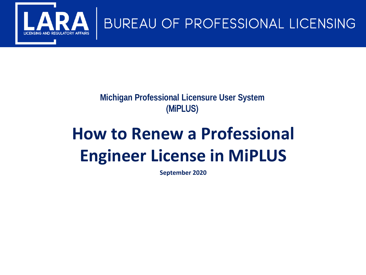

## **Michigan Professional Licensure User System** (MiPLUS)

# **How to Renew a Professional Engineer License in MiPLUS**

**September 2020**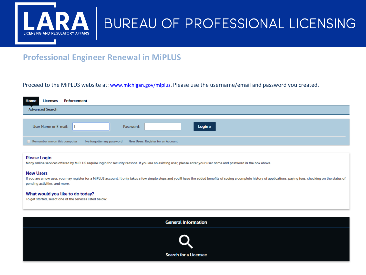

### **Professional Engineer Renewal in MiPLUS**

#### Proceed to the MiPLUS website at: www.michigan.gov/miplus. Please use the username/email and password you created.

| Home | <b>Licenses</b>              |  | <b>Enforcement</b> |  |           |                                                               |  |         |  |  |
|------|------------------------------|--|--------------------|--|-----------|---------------------------------------------------------------|--|---------|--|--|
|      | <b>Advanced Search</b>       |  |                    |  |           |                                                               |  |         |  |  |
|      |                              |  |                    |  |           |                                                               |  |         |  |  |
|      | User Name or E-mail:         |  |                    |  | Password: |                                                               |  | Login » |  |  |
|      | Remember me on this computer |  |                    |  |           | I've forgotten my password New Users: Register for an Account |  |         |  |  |

#### **Please Login**

Many online services offered by MiPLUS require login for security reasons. If you are an existing user, please enter your user name and password in the box above.

#### **New Users**

If you are a new user, you may register for a MiPLUS account. It only takes a few simple steps and you'll have the added benefits of seeing a complete history of applications, paying fees, checking on the status of pending activities, and more.

#### What would you like to do today?

To get started, select one of the services listed below:

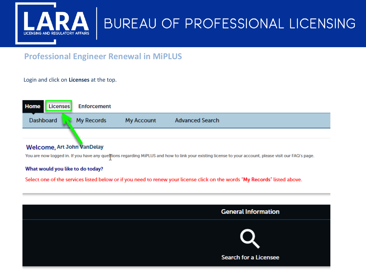

## **Professional Engineer Renewal in MiPLUS**

#### Login and click on **Licenses** at the top.



#### **Welcome, Art John VanDelay**

You are now logged in. If you have any questions regarding MiPLUS and how to link your existing license to your account, please visit our FAQ's page.

#### What would you like to do today?

Select one of the services listed below or if you need to renew your license click on the words "My Records" listed above.

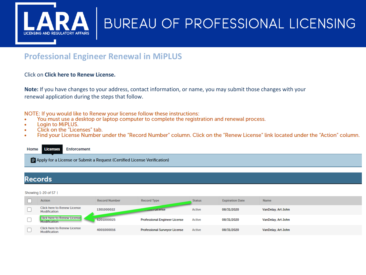

## **Professional Engineer Renewal in MiPLUS**

#### Click on Click here to Renew License.

Note: If you have changes to your address, contact information, or name, you may submit those changes with your renewal application during the steps that follow.

NOTE: If you would like to Renew your license follow these instructions:

- You must use a desktop or laptop computer to complete the registration and renewal process.
- Login to MiPLUS. ä
- Click on the "Licenses" tab.  $\bullet$
- Find your License Number under the "Record Number" column. Click on the "Renew License" link located under the "Action" column.  $\bullet$

#### **Enforcement Licenses** Home

Apply for a License or Submit a Request (Certified License Verification)

### **Records**

#### Showing 1-20 of 57 |

| <b>Action</b>                                             | <b>Record Number</b> | <b>Record Type</b>                   | <b>Status</b> | <b>Expiration Date</b> | <b>Name</b>        |
|-----------------------------------------------------------|----------------------|--------------------------------------|---------------|------------------------|--------------------|
| <b>Click here to Renew License</b><br>Modification        | 1301000022           | <b><i><u>Investitudense</u></i></b>  | Active        | 08/31/2020             | VanDelay, Art John |
| <b>Click here to Renew License</b><br><b>Modification</b> | 6201000025           | <b>Professional Engineer License</b> | Active        | 08/31/2020             | VanDelay, Art John |
| <b>Click here to Renew License</b><br>Modification        | 4001000016           | <b>Professional Surveyor License</b> | Active        | 08/31/2020             | VanDelay, Art John |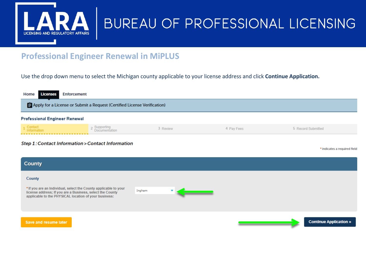

## **Professional Engineer Renewal in MiPLUS**

#### Use the drop down menu to select the Michigan county applicable to your license address and click **Continue Application.**

| Home<br><b>Licenses</b><br><b>Enforcement</b>                            |                               |          |            |                              |  |  |  |  |
|--------------------------------------------------------------------------|-------------------------------|----------|------------|------------------------------|--|--|--|--|
| Apply for a License or Submit a Request (Certified License Verification) |                               |          |            |                              |  |  |  |  |
| <b>Professional Engineer Renewal</b>                                     |                               |          |            |                              |  |  |  |  |
| 1 Contact<br>Information                                                 | 2 Supporting<br>Documentation | 3 Review | 4 Pay Fees | 5 Record Submitted           |  |  |  |  |
| Step 1: Contact Information > Contact Information                        |                               |          |            | * indicates a required field |  |  |  |  |
| <b>County</b>                                                            |                               |          |            |                              |  |  |  |  |
| County                                                                   |                               |          |            |                              |  |  |  |  |

\* If you are an Individual, select the County applicable to your license address; If you are a Business, select the County applicable to the PHYSICAL location of your business:

Ingham

Save and resume later

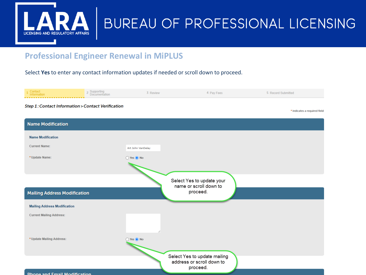

### **Professional Engineer Renewal in MiPLUS**

Select **Yes** to enter any contact information updates if needed or scroll down to proceed.



**Dhong and Email Modification**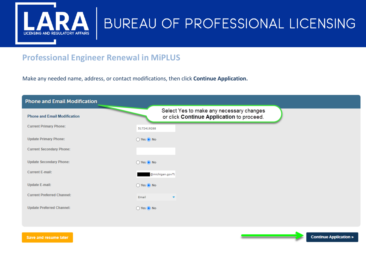

## **Professional Engineer Renewal in MiPLUS**

Make any needed name, address, or contact modifications, then click **Continue Application.**



Save and resume later

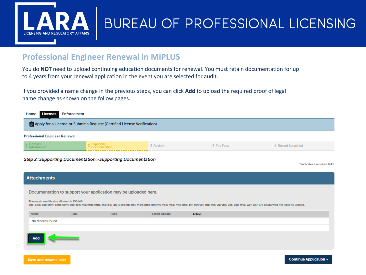

Save and resume later

## BUREAU OF PROFESSIONAL LICENSING

### **Professional Engineer Renewal in MiPLUS**

You do **NOT** need to upload continuing education documents for renewal. You must retain documentation for up to 4 years from your renewal application in the event you are selected for audit.

If you provided a name change in the previous steps, you can click **Add** to upload the required proof of legal name change as shown on the follow pages.



#### **Step 2: Supporting Documentation > Supporting Documentation**

\* indicates a required field.

| <b>Attachments</b>                                                                                                                                                                                                                                                                                                                           |             |             |                      |               |  |  |  |  |  |
|----------------------------------------------------------------------------------------------------------------------------------------------------------------------------------------------------------------------------------------------------------------------------------------------------------------------------------------------|-------------|-------------|----------------------|---------------|--|--|--|--|--|
| Documentation to support your application may be uploaded here.<br>The maximum file size allowed is 150 MB.<br>ade; adp; bat; chm; cmd; com; cpl; exe; hta; htm; html; ins; isp; jar; js; jse; lib; lnk; mde; mht; mhtml; msc; msp; mst; php; pif; scr; sct; shb; sys; vb; vbe; vbs; vxd; wsc; wsf; wsh are disallowed file types to upload. |             |             |                      |               |  |  |  |  |  |
| Name                                                                                                                                                                                                                                                                                                                                         | <b>Type</b> | <b>Size</b> | <b>Latest Update</b> | <b>Action</b> |  |  |  |  |  |
| No records found.                                                                                                                                                                                                                                                                                                                            |             |             |                      |               |  |  |  |  |  |
|                                                                                                                                                                                                                                                                                                                                              |             |             |                      |               |  |  |  |  |  |
| Add                                                                                                                                                                                                                                                                                                                                          |             |             |                      |               |  |  |  |  |  |
|                                                                                                                                                                                                                                                                                                                                              |             |             |                      |               |  |  |  |  |  |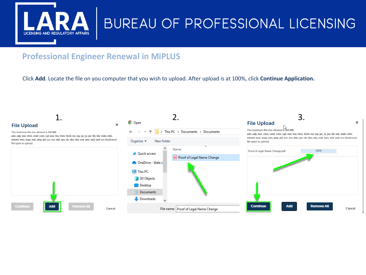

## **Professional Engineer Renewal in MiPLUS**

#### Click **Add**. Locate the file on you computer that you wish to upload. After upload is at 100%, click **Continue Application.**

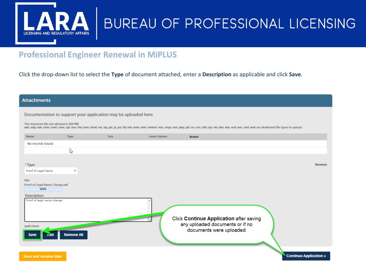

### **Professional Engineer Renewal in MiPLUS**

Click the drop-down list to select the Type of document attached, enter a Description as applicable and click Save.

|  |  | <b>Attachments</b> |  |  |
|--|--|--------------------|--|--|
|  |  |                    |  |  |

Documentation to support your application may be uploaded here.

The maximum file size allowed is 150 MB.

ade; adp; bat; chm; cmd; com; cpl; exe; hta; htm; html; ins; isp; jar; js; jse; lib; lnk; mde; mht; mhtml; msc; msp; mst; php; pif; scr; sct; shb; sys; vb; vbe; vos; vust; wsc; wsf; wsh are disallowed file types to upload.

| No records found.<br>P<br>*Type:<br>Remove<br>Proof of Legal Name<br>$\overline{\mathbf{v}}$<br>File:<br>Proof of Legal Name Change.pdf<br>100%<br>Description:<br>Proof of legal name change.<br>Click Continue Application after saving<br>any uploaded documents or if no<br>spell check<br>documents were uploaded<br><b>Remove All</b><br><b>Save</b><br>Add |      |             |      |                      |               |  |
|-------------------------------------------------------------------------------------------------------------------------------------------------------------------------------------------------------------------------------------------------------------------------------------------------------------------------------------------------------------------|------|-------------|------|----------------------|---------------|--|
|                                                                                                                                                                                                                                                                                                                                                                   | Name | <b>Type</b> | Size | <b>Latest Update</b> | <b>Action</b> |  |
|                                                                                                                                                                                                                                                                                                                                                                   |      |             |      |                      |               |  |
|                                                                                                                                                                                                                                                                                                                                                                   |      |             |      |                      |               |  |
|                                                                                                                                                                                                                                                                                                                                                                   |      |             |      |                      |               |  |
|                                                                                                                                                                                                                                                                                                                                                                   |      |             |      |                      |               |  |
|                                                                                                                                                                                                                                                                                                                                                                   |      |             |      |                      |               |  |
|                                                                                                                                                                                                                                                                                                                                                                   |      |             |      |                      |               |  |
| Continue Application »<br>Save and resume later                                                                                                                                                                                                                                                                                                                   |      |             |      |                      |               |  |

**Continue Application »**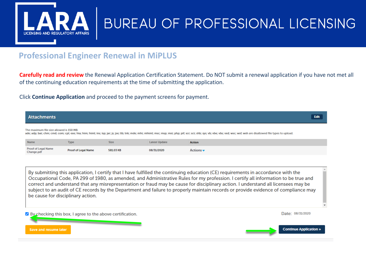

### **Professional Engineer Renewal in MiPLUS**

**Carefully read and review** the Renewal Application Certification Statement. Do NOT submit a renewal application if you have not met all of the continuing education requirements at the time of submitting the application.

Click **Continue Application** and proceed to the payment screens for payment.

| <b>Attachments</b>                       |                                                                                                                                                                                                                                                                                                                                                                                                                                                                                                                                                                                           |             |                      |                              | <b>Edit</b>                                                                                                                                                                                                                   |  |  |  |  |
|------------------------------------------|-------------------------------------------------------------------------------------------------------------------------------------------------------------------------------------------------------------------------------------------------------------------------------------------------------------------------------------------------------------------------------------------------------------------------------------------------------------------------------------------------------------------------------------------------------------------------------------------|-------------|----------------------|------------------------------|-------------------------------------------------------------------------------------------------------------------------------------------------------------------------------------------------------------------------------|--|--|--|--|
| The maximum file size allowed is 150 MB. |                                                                                                                                                                                                                                                                                                                                                                                                                                                                                                                                                                                           |             |                      |                              | ade; adp; bat; chm; cmd; com; cpl; exe; hta; htm; html; ins; isp; jar; js; jse; lib; lnk; mde; mht; mhtml; msc; msp; mst; php; pif; scr; sct; shb; sys; vb; vbe; vbs; vxd; wsc; wsf; wsh are disallowed file types to upload. |  |  |  |  |
| <b>Name</b>                              | <b>Type</b>                                                                                                                                                                                                                                                                                                                                                                                                                                                                                                                                                                               | <b>Size</b> | <b>Latest Update</b> | <b>Action</b>                |                                                                                                                                                                                                                               |  |  |  |  |
| <b>Proof of Legal Name</b><br>Change.pdf | <b>Proof of Legal Name</b>                                                                                                                                                                                                                                                                                                                                                                                                                                                                                                                                                                | 581.03 KB   | 08/31/2020           | Actions $\blacktriangledown$ |                                                                                                                                                                                                                               |  |  |  |  |
|                                          | By submitting this application, I certify that I have fulfilled the continuing education (CE) requirements in accordance with the<br>Occupational Code, PA 299 of 1980, as amended, and Administrative Rules for my profession. I certify all information to be true and<br>correct and understand that any misrepresentation or fraud may be cause for disciplinary action. I understand all licensees may be<br>subject to an audit of CE records by the Department and failure to properly maintain records or provide evidence of compliance may<br>be cause for disciplinary action. |             |                      |                              |                                                                                                                                                                                                                               |  |  |  |  |
| Save and resume later                    | $\vee$ By checking this box, I agree to the above certification.                                                                                                                                                                                                                                                                                                                                                                                                                                                                                                                          |             |                      |                              | Date: 08/31/2020<br><b>Continue Application »</b>                                                                                                                                                                             |  |  |  |  |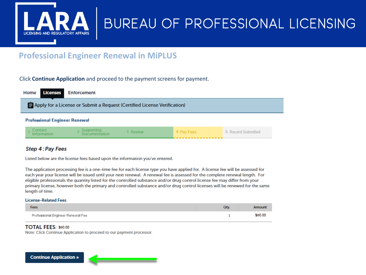

### **Professional Engineer Renewal in MiPLUS**

#### Click Continue Application and proceed to the payment screens for payment.



#### Step 4: Pay Fees

Listed below are the license fees based upon the information you've entered.

The application processing fee is a one-time fee for each license type you have applied for. A license fee will be assessed for each year your license will be issued until your next renewal. A renewal fee is assessed for the complete renewal length. For eligible professionals the quantity listed for the controlled substance and/or drug control license fee may differ from your primary license, however both the primary and controlled substance and/or drug control licenses will be renewed for the same length of time.

#### **License-Related Fees**

| Fees                              | Qtv. | Amount  |
|-----------------------------------|------|---------|
| Professional Engineer Renewal Fee |      | \$80.00 |

#### TOTAL FEES: \$80.00

Note: Click Continue Application to proceed to our payment processor.

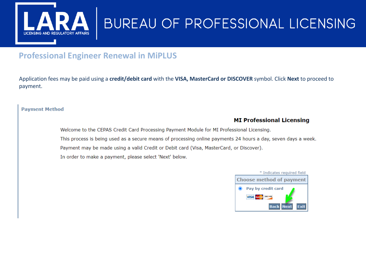

## **Professional Engineer Renewal in MiPLUS**

Application fees may be paid using a **credit/debit card** with the **VISA, MasterCard or DISCOVER** symbol. Click **Next** to proceed to payment.

#### **Payment Method**

#### **MI Professional Licensing**

Welcome to the CEPAS Credit Card Processing Payment Module for MI Professional Licensing. This process is being used as a secure means of processing online payments 24 hours a day, seven days a week. Payment may be made using a valid Credit or Debit card (Visa, MasterCard, or Discover). In order to make a payment, please select 'Next' below.

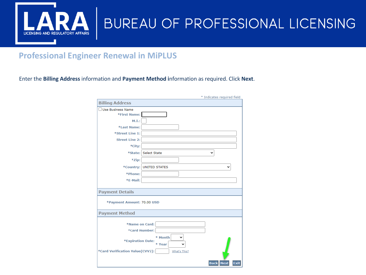

### **Professional Engineer Renewal in MiPLUS**

Enter the **Billing Address** information and **Payment Method i**nformation as required. Click **Next**.

|                                 | * Indicates required field                |
|---------------------------------|-------------------------------------------|
| <b>Billing Address</b>          |                                           |
| <b>Use Business Name</b>        |                                           |
| *First Name:                    |                                           |
| M.I.:                           |                                           |
| *Last Name:                     |                                           |
| *Street Line 1:                 |                                           |
| <b>Street Line 2:</b>           |                                           |
| *City:                          |                                           |
|                                 | *State: Select State<br>v                 |
| *Zip:                           |                                           |
|                                 | *Country: UNITED STATES                   |
| *Phone:                         |                                           |
| *E-Mail:                        |                                           |
|                                 |                                           |
| <b>Payment Details</b>          |                                           |
| *Payment Amount: 70.00 USD      |                                           |
| <b>Payment Method</b>           |                                           |
| *Name on Card:                  |                                           |
| *Card Number:                   |                                           |
|                                 | * Month                                   |
| *Expiration Date:               | v<br>* Year                               |
| *Card Verification Value(CVV2): | What's This?                              |
|                                 | <b>Exit</b><br><b>Back</b><br><b>Next</b> |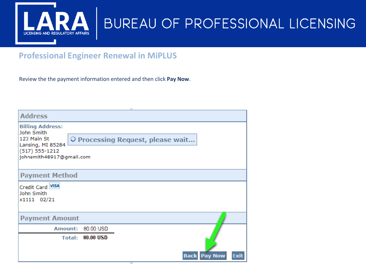

### **Professional Engineer Renewal in MiPLUS**

Review the the payment information entered and then click **Pay Now**.

| <b>Address</b>                                                                                                              |                                                     |                       |
|-----------------------------------------------------------------------------------------------------------------------------|-----------------------------------------------------|-----------------------|
| <b>Billing Address:</b><br>John Smith<br>123 Main St<br>Lansing, MI 85284<br>$(517) 555 - 1212$<br>johnsmith48917@gmail.com | Processing Request, please wait                     |                       |
| <b>Payment Method</b>                                                                                                       |                                                     |                       |
| Credit Card VISA<br>John Smith<br>x1111 02/21                                                                               |                                                     |                       |
| <b>Payment Amount</b>                                                                                                       |                                                     |                       |
| Amount:                                                                                                                     | 80.00 USD<br><b>Total: 80.00 USD</b><br><b>Back</b> | <b>Pay Now</b><br>Exi |